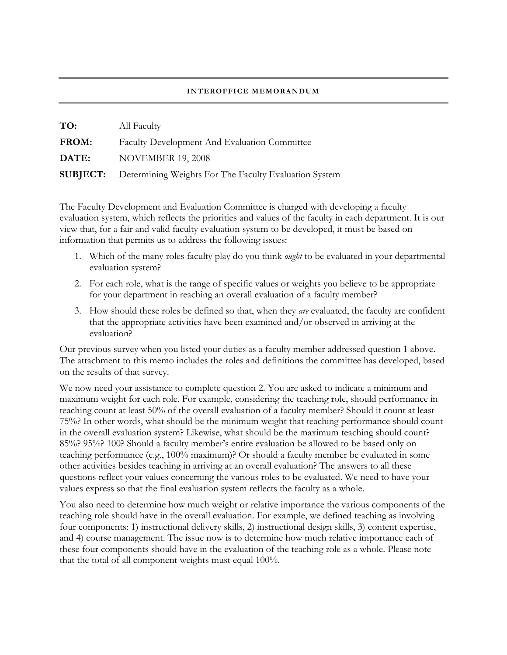## **INTEROFFICE MEMORANDUM**

| TO:   | All Faculty                                                           |
|-------|-----------------------------------------------------------------------|
| FROM: | <b>Faculty Development And Evaluation Committee</b>                   |
| DATE: | <b>NOVEMBER 19, 2008</b>                                              |
|       | <b>SUBJECT:</b> Determining Weights For The Faculty Evaluation System |

The Faculty Development and Evaluation Committee is charged with developing a faculty evaluation system, which reflects the priorities and values of the faculty in each department. It is our view that, for a fair and valid faculty evaluation system to be developed, it must be based on information that permits us to address the following issues:

- 1. Which of the many roles faculty play do you think *ought* to be evaluated in your departmental evaluation system?
- 2. For each role, what is the range of specific values or weights you believe to be appropriate for your department in reaching an overall evaluation of a faculty member?
- 3. How should these roles be defined so that, when they *are* evaluated, the faculty are confident that the appropriate activities have been examined and/or observed in arriving at the evaluation?

Our previous survey when you listed your duties as a faculty member addressed question 1 above. The attachment to this memo includes the roles and definitions the committee has developed, based on the results of that survey.

We now need your assistance to complete question 2. You are asked to indicate a minimum and maximum weight for each role. For example, considering the teaching role, should performance in teaching count at least 50% of the overall evaluation of a faculty member? Should it count at least 75%? In other words, what should be the minimum weight that teaching performance should count in the overall evaluation system? Likewise, what should be the maximum teaching should count? 85%? 95%? 100? Should a faculty member's entire evaluation be allowed to be based only on teaching performance (e.g., 100% maximum)? Or should a faculty member be evaluated in some other activities besides teaching in arriving at an overall evaluation? The answers to all these questions reflect your values concerning the various roles to be evaluated. We need to have your values express so that the final evaluation system reflects the faculty as a whole.

You also need to determine how much weight or relative importance the various components of the teaching role should have in the overall evaluation. For example, we defined teaching as involving four components: 1) instructional delivery skills, 2) instructional design skills, 3) content expertise, and 4) course management. The issue now is to determine how much relative importance each of these four components should have in the evaluation of the teaching role as a whole. Please note that the total of all component weights must equal 100%.